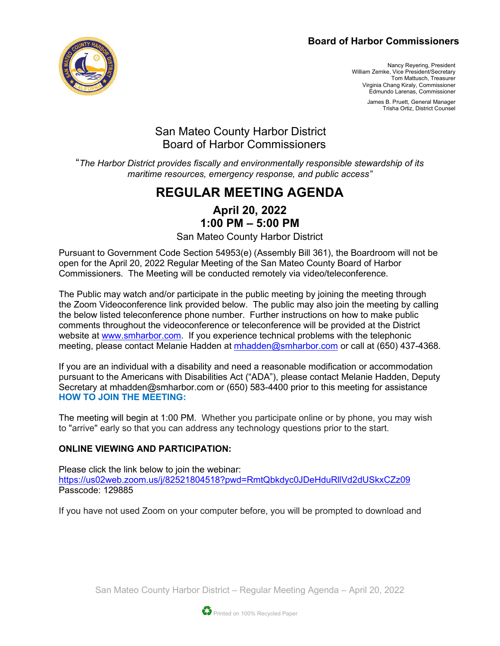### **Board of Harbor Commissioners**



Nancy Reyering, President William Zemke, Vice President/Secretary Tom Mattusch, Treasurer Virginia Chang Kiraly, Commissioner Edmundo Larenas, Commissioner

> James B. Pruett, General Manager Trisha Ortiz, District Counsel

## San Mateo County Harbor District Board of Harbor Commissioners

"*The Harbor District provides fiscally and environmentally responsible stewardship of its maritime resources, emergency response, and public access"*

# **REGULAR MEETING AGENDA**

### **April 20, 2022 1:00 PM – 5:00 PM**

San Mateo County Harbor District

Pursuant to Government Code Section 54953(e) (Assembly Bill 361), the Boardroom will not be open for the April 20, 2022 Regular Meeting of the San Mateo County Board of Harbor Commissioners. The Meeting will be conducted remotely via video/teleconference.

The Public may watch and/or participate in the public meeting by joining the meeting through the Zoom Videoconference link provided below. The public may also join the meeting by calling the below listed teleconference phone number. Further instructions on how to make public comments throughout the videoconference or teleconference will be provided at the District website at [www.smharbor.com.](http://www.smharbor.com/) If you experience technical problems with the telephonic meeting, please contact Melanie Hadden at [mhadden@smharbor.com](mailto:mhadden@smharbor.com) or call at (650) 437-4368.

If you are an individual with a disability and need a reasonable modification or accommodation pursuant to the Americans with Disabilities Act ("ADA"), please contact Melanie Hadden, Deputy Secretary at mhadden@smharbor.com or (650) 583-4400 prior to this meeting for assistance **HOW TO JOIN THE MEETING:**

The meeting will begin at 1:00 PM. Whether you participate online or by phone, you may wish to "arrive" early so that you can address any technology questions prior to the start.

### **ONLINE VIEWING AND PARTICIPATION:**

Please click the link below to join the webinar: <https://us02web.zoom.us/j/82521804518?pwd=RmtQbkdyc0JDeHduRllVd2dUSkxCZz09> Passcode: 129885

If you have not used Zoom on your computer before, you will be prompted to download and

San Mateo County Harbor District – Regular Meeting Agenda – April 20, 2022

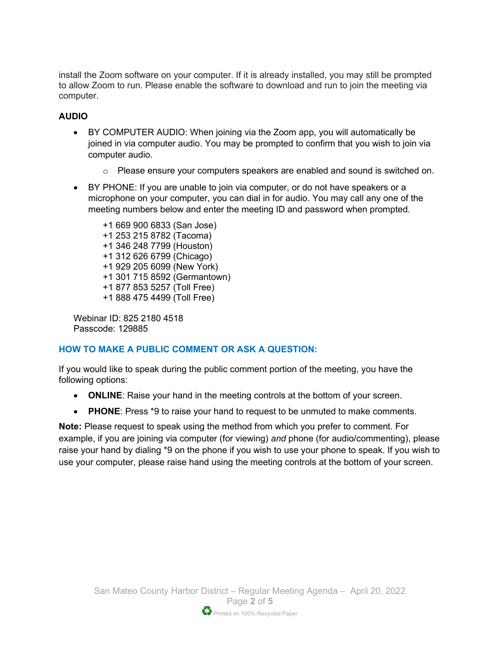install the Zoom software on your computer. If it is already installed, you may still be prompted to allow Zoom to run. Please enable the software to download and run to join the meeting via computer.

#### **AUDIO**

- BY COMPUTER AUDIO: When joining via the Zoom app, you will automatically be joined in via computer audio. You may be prompted to confirm that you wish to join via computer audio.
	- o Please ensure your computers speakers are enabled and sound is switched on.
- BY PHONE: If you are unable to join via computer, or do not have speakers or a microphone on your computer, you can dial in for audio. You may call any one of the meeting numbers below and enter the meeting ID and password when prompted.

+1 669 900 6833 (San Jose) +1 253 215 8782 (Tacoma) +1 346 248 7799 (Houston) +1 312 626 6799 (Chicago) +1 929 205 6099 (New York) +1 301 715 8592 (Germantown) +1 877 853 5257 (Toll Free) +1 888 475 4499 (Toll Free)

Webinar ID: 825 2180 4518 Passcode: 129885

#### **HOW TO MAKE A PUBLIC COMMENT OR ASK A QUESTION:**

If you would like to speak during the public comment portion of the meeting, you have the following options:

- **ONLINE**: Raise your hand in the meeting controls at the bottom of your screen.
- **PHONE**: Press \*9 to raise your hand to request to be unmuted to make comments.

**Note:** Please request to speak using the method from which you prefer to comment. For example, if you are joining via computer (for viewing) *and* phone (for audio/commenting), please raise your hand by dialing \*9 on the phone if you wish to use your phone to speak. If you wish to use your computer, please raise hand using the meeting controls at the bottom of your screen.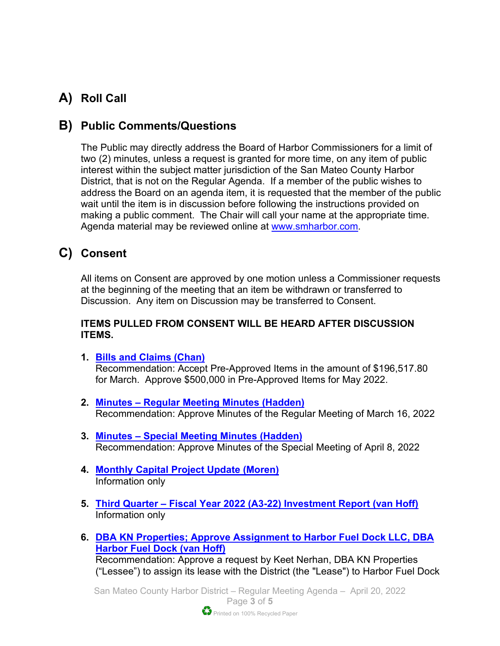# **A) Roll Call**

## **B) Public Comments/Questions**

The Public may directly address the Board of Harbor Commissioners for a limit of two (2) minutes, unless a request is granted for more time, on any item of public interest within the subject matter jurisdiction of the San Mateo County Harbor District, that is not on the Regular Agenda. If a member of the public wishes to address the Board on an agenda item, it is requested that the member of the public wait until the item is in discussion before following the instructions provided on making a public comment. The Chair will call your name at the appropriate time. Agenda material may be reviewed online at [www.smharbor.com.](http://www.smharbor.com/)

## **C) Consent**

All items on Consent are approved by one motion unless a Commissioner requests at the beginning of the meeting that an item be withdrawn or transferred to Discussion. Any item on Discussion may be transferred to Consent.

### **ITEMS PULLED FROM CONSENT WILL BE HEARD AFTER DISCUSSION ITEMS.**

- **1. [Bills and Claims \(Chan\)](https://smharbor.specialdistrict.org/files/a9b586b1f/2022_04_20_Item_1_Bills+and+Claims_Staff_Report.pdf)** Recommendation: Accept Pre-Approved Items in the amount of \$196,517.80 for March. Approve \$500,000 in Pre-Approved Items for May 2022.
- **2. Minutes – [Regular Meeting Minutes \(Hadden\)](https://smharbor.specialdistrict.org/files/72f062da6/2022_04_20_Item_2_Minutes_2022_03_16_Regular+Meeting.pdf)** Recommendation: Approve Minutes of the Regular Meeting of March 16, 2022
- **3. Minutes – [Special Meeting Minutes \(Hadden\)](https://smharbor.specialdistrict.org/files/0e2ce5e1c/2022_04_20_Item_3_Minutes+2022_04_08_Special+Meeting+Agenda.pdf)** Recommendation: Approve Minutes of the Special Meeting of April 8, 2022
- **4. [Monthly Capital Project Update \(Moren\)](https://smharbor.specialdistrict.org/files/104af8b75/2022_04_20_Item_4_Monthly_Capital_Project_Update_Staff+Report.pdf)** Information only
- **5. Third Quarter – [Fiscal Year 2022 \(A3-22\) Investment Report](https://smharbor.specialdistrict.org/files/fa9607015/2022_04_20_Item_5_Q3-22+Investment+Report+Staff+Report.pdf) (van Hoff)** Information only
- **6. [DBA KN Properties; Approve Assignment to Harbor Fuel Dock LLC, DBA](https://smharbor.specialdistrict.org/files/d6ed3546f/2022_04_20_Item_6_Pillar+Point+Fuel+and+Ice+Lease_Reassignment_Staff_Report.pdf)  [Harbor Fuel Dock \(van Hoff\)](https://smharbor.specialdistrict.org/files/d6ed3546f/2022_04_20_Item_6_Pillar+Point+Fuel+and+Ice+Lease_Reassignment_Staff_Report.pdf)** Recommendation: Approve a request by Keet Nerhan, DBA KN Properties ("Lessee") to assign its lease with the District (the "Lease") to Harbor Fuel Dock

San Mateo County Harbor District – Regular Meeting Agenda – April 20, 2022 Page **3** of **5**

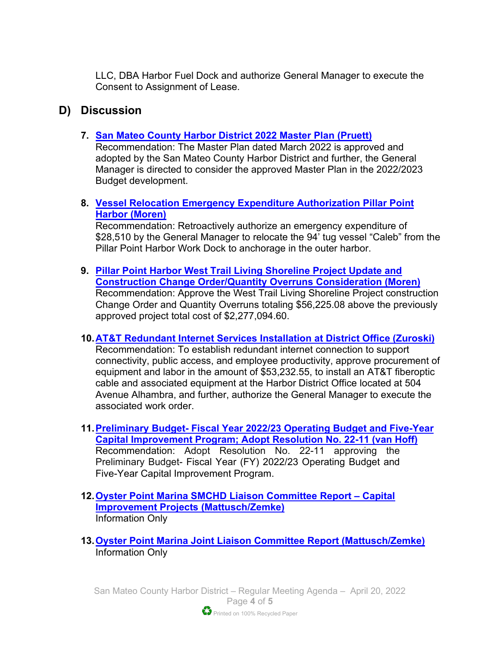LLC, DBA Harbor Fuel Dock and authorize General Manager to execute the Consent to Assignment of Lease.

### **D) Discussion**

**7. [San Mateo County Harbor District 2022 Master Plan \(Pruett\)](https://smharbor.specialdistrict.org/files/7be2eb9a1/2022_04_20_Item_7_Master_Plan_Final_Staff_Report.pdf)** 

Recommendation: The Master Plan dated March 2022 is approved and adopted by the San Mateo County Harbor District and further, the General Manager is directed to consider the approved Master Plan in the 2022/2023 Budget development.

**8. [Vessel Relocation Emergency Expenditure Authorization Pillar Point](https://smharbor.specialdistrict.org/files/3d0a6ab2f/2022_04_20_Item_8_Vessel+Relocation+Staff+Report+Vessel+Relocation+Emer+Expen.pdf)  Harbor [\(Moren\)](https://smharbor.specialdistrict.org/files/3d0a6ab2f/2022_04_20_Item_8_Vessel+Relocation+Staff+Report+Vessel+Relocation+Emer+Expen.pdf)**

Recommendation: Retroactively authorize an emergency expenditure of \$28,510 by the General Manager to relocate the 94' tug vessel "Caleb" from the Pillar Point Harbor Work Dock to anchorage in the outer harbor.

- **9. [Pillar Point Harbor West Trail Living Shoreline Project Update and](https://smharbor.specialdistrict.org/files/aefce55f5/2022_04_20_Item_9_PPH+West+Trail+Living+Shoreline+Project+Staff+Report.pdf)  [Construction Change Order/Quantity Overruns Consideration](https://smharbor.specialdistrict.org/files/aefce55f5/2022_04_20_Item_9_PPH+West+Trail+Living+Shoreline+Project+Staff+Report.pdf) (Moren)**  Recommendation: Approve the West Trail Living Shoreline Project construction Change Order and Quantity Overruns totaling \$56,225.08 above the previously approved project total cost of \$2,277,094.60.
- **10[.AT&T Redundant Internet Services Installation at District Office \(Zuroski\)](https://smharbor.specialdistrict.org/files/03610d638/2022_04_20_Item_10_ATT+Redundant+Internet+Services+Staff+Report.pdf)**

Recommendation: To establish redundant internet connection to support connectivity, public access, and employee productivity, approve procurement of equipment and labor in the amount of \$53,232.55, to install an AT&T fiberoptic cable and associated equipment at the Harbor District Office located at 504 Avenue Alhambra, and further, authorize the General Manager to execute the associated work order.

- **11.Preliminary Budget- [Fiscal Year 2022/23 Operating Budget and Five-Year](https://www.smharbor.com/files/83d423652/2022_04_20_Item_11_Preliminary_Budget_Staff_Report.pdf)  [Capital Improvement Program; Adopt Resolution No. 22-11 \(van Hoff\)](https://www.smharbor.com/files/83d423652/2022_04_20_Item_11_Preliminary_Budget_Staff_Report.pdf)** Recommendation: Adopt Resolution No. 22-11 approving the Preliminary Budget- Fiscal Year (FY) 2022/23 Operating Budget and Five-Year Capital Improvement Program.
- **12[.Oyster Point Marina SMCHD Liaison Committee Report –](https://smharbor.specialdistrict.org/files/42e3e9900/2022_04_20_Item_12_OPM_Liaison_SMCH_CIP_Meeting.pdf) Capital [Improvement Projects \(Mattusch/Zemke\)](https://smharbor.specialdistrict.org/files/42e3e9900/2022_04_20_Item_12_OPM_Liaison_SMCH_CIP_Meeting.pdf)**  Information Only
- **13[.Oyster Point Marina Joint Liaison Committee Report](https://www.smharbor.com/files/661a48449/2022_04_20_Item_13_OPM_Liaison_Report.pdf) (Mattusch/Zemke)** Information Only